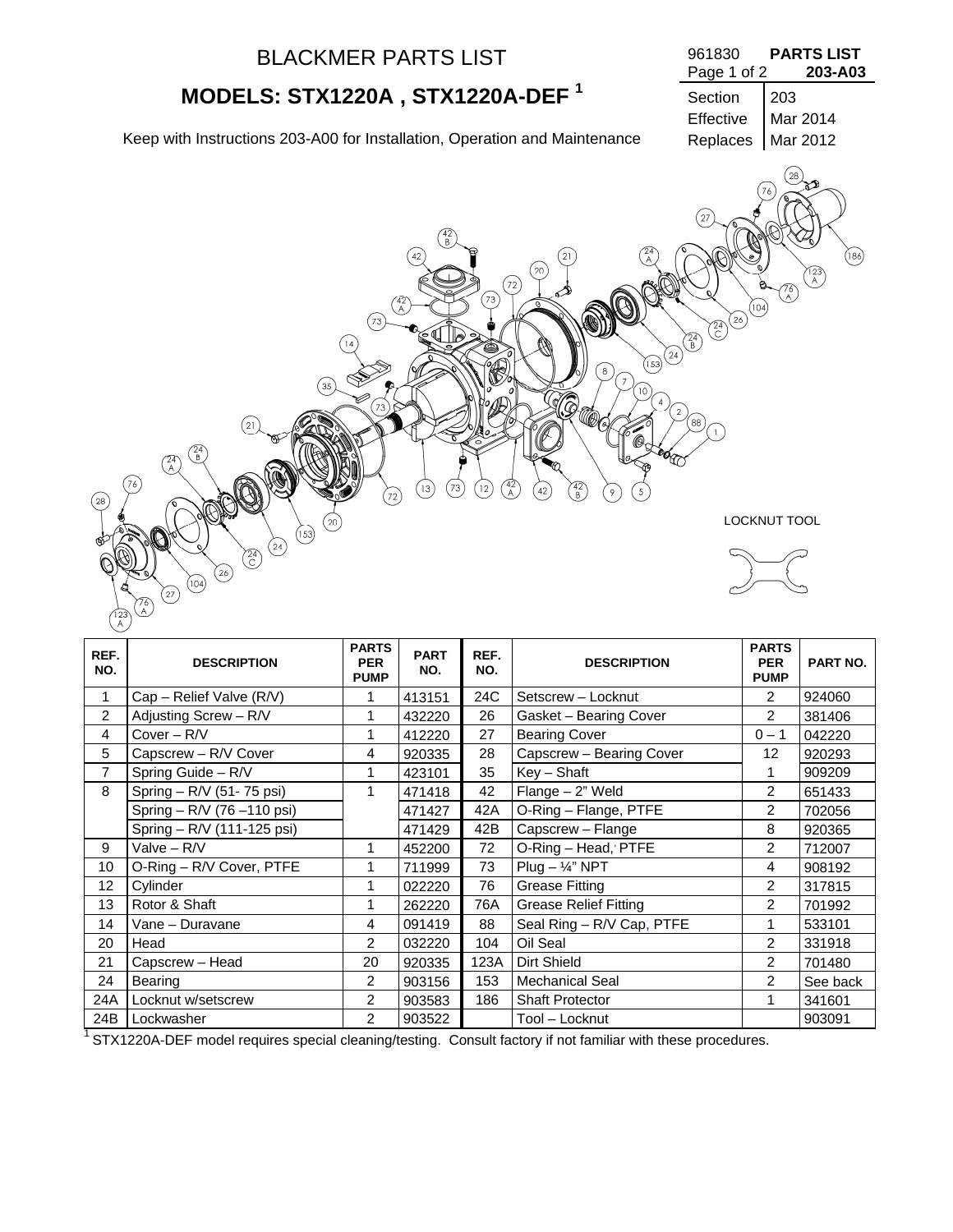| <b>BLACKMER PARTS LIST</b>                                                                                                                                                                                                                                                                                                                                                                                                                                                                                                                                       | 961830<br>Page 1 of 2                                                                           | <b>PARTS LIST</b><br>203-A03                               |
|------------------------------------------------------------------------------------------------------------------------------------------------------------------------------------------------------------------------------------------------------------------------------------------------------------------------------------------------------------------------------------------------------------------------------------------------------------------------------------------------------------------------------------------------------------------|-------------------------------------------------------------------------------------------------|------------------------------------------------------------|
| MODELS: STX1220A, STX1220A-DEF <sup>1</sup>                                                                                                                                                                                                                                                                                                                                                                                                                                                                                                                      | Section                                                                                         | 203                                                        |
| Keep with Instructions 203-A00 for Installation, Operation and Maintenance                                                                                                                                                                                                                                                                                                                                                                                                                                                                                       | Effective<br>Replaces                                                                           | Mar 2014<br>Mar 2012                                       |
| $\begin{pmatrix} 42 \\ B \end{pmatrix}$<br>$^{(2)}$<br>42<br>$^{(20)}$<br>$\left( 72\right)$<br>$^{73}$<br>$\binom{42}{A}$<br>73<br>6¶.<br>R)<br>$\overline{14}$<br>$\binom{24}{}$<br>(153)<br>່8່<br>$\overline{7}$<br>$\left(35\right)$<br>10<br>73<br>21<br>$\sqrt{\frac{24}{5}}$<br>$\widehat{A}$<br>76<br>42<br>A<br>742)<br>B<br>(73)<br>$\left(12\right)$<br>$\left(13\right)$<br>42<br>$\overline{9}$<br>5<br>72<br>$^{(28)}$<br>20<br>(153)<br>$\mathbf{\hat{P}}$<br>$\circled{24}$<br>$\widehat{C}$<br>$\left( \begin{matrix} 26 \end{matrix} \right)$ | 27<br>$\otimes$<br>(104)<br>$(24)$ $(26)$<br>$\binom{24}{B}$<br>$\sqrt{2}$<br>$\left[88\right]$ | 28<br>76<br>(186)<br>123<br>  A<br>76<br>D<br>LOCKNUT TOOL |
| (104)<br>$\left( 27\right)$<br>76<br>.A                                                                                                                                                                                                                                                                                                                                                                                                                                                                                                                          |                                                                                                 |                                                            |

| REF.<br>NO.    | <b>DESCRIPTION</b>          | <b>PARTS</b><br><b>PER</b><br><b>PUMP</b> | <b>PART</b><br>NO. | REF.<br>NO. | <b>DESCRIPTION</b>           | <b>PARTS</b><br><b>PER</b><br><b>PUMP</b> | <b>PART NO.</b> |
|----------------|-----------------------------|-------------------------------------------|--------------------|-------------|------------------------------|-------------------------------------------|-----------------|
| 1              | Cap - Relief Valve (R/V)    | 1                                         | 413151             | 24C         | Setscrew - Locknut           | 2                                         | 924060          |
| $\overline{2}$ | Adjusting Screw - R/V       | 1                                         | 432220             | 26          | Gasket - Bearing Cover       | $\overline{2}$                            | 381406          |
| 4              | $Cover - R/V$               | 1                                         | 412220             | 27          | <b>Bearing Cover</b>         | $0 - 1$                                   | 042220          |
| 5              | Capscrew - R/V Cover        | 4                                         | 920335             | 28          | Capscrew - Bearing Cover     | 12                                        | 920293          |
| 7              | Spring Guide - R/V          | 1                                         | 423101             | 35          | $Key - Shaft$                |                                           | 909209          |
| 8              | Spring - R/V (51-75 psi)    | 1                                         | 471418             | 42          | $Flange - 2"$ Weld           | 2                                         | 651433          |
|                | Spring - R/V (76 - 110 psi) |                                           | 471427             | 42A         | O-Ring - Flange, PTFE        | 2                                         | 702056          |
|                | Spring - R/V (111-125 psi)  |                                           | 471429             | 42B         | Capscrew - Flange            | 8                                         | 920365          |
| 9              | Valve $- R/V$               | 1                                         | 452200             | 72          | O-Ring - Head, PTFE          | $\overline{2}$                            | 712007          |
| 10             | O-Ring - R/V Cover, PTFE    | 1                                         | 711999             | 73          | $Plug - \frac{1}{4}$ " NPT   | 4                                         | 908192          |
| 12             | Cylinder                    |                                           | 022220             | 76          | <b>Grease Fitting</b>        | $\overline{c}$                            | 317815          |
| 13             | Rotor & Shaft               | 1                                         | 262220             | 76A         | <b>Grease Relief Fitting</b> | 2                                         | 701992          |
| 14             | Vane - Duravane             | $\overline{4}$                            | 091419             | 88          | Seal Ring - R/V Cap, PTFE    | 1                                         | 533101          |
| 20             | Head                        | 2                                         | 032220             | 104         | Oil Seal                     | $\overline{c}$                            | 331918          |
| 21             | Capscrew - Head             | 20                                        | 920335             | 123A        | Dirt Shield                  | $\overline{2}$                            | 701480          |
| 24             | Bearing                     | 2                                         | 903156             | 153         | <b>Mechanical Seal</b>       | 2                                         | See back        |
| 24A            | Locknut w/setscrew          | 2                                         | 903583             | 186         | <b>Shaft Protector</b>       | 1                                         | 341601          |
| 24B            | Lockwasher                  | $\overline{2}$                            | 903522             |             | Tool - Locknut               |                                           | 903091          |

1 STX1220A-DEF model requires special cleaning/testing. Consult factory if not familiar with these procedures.